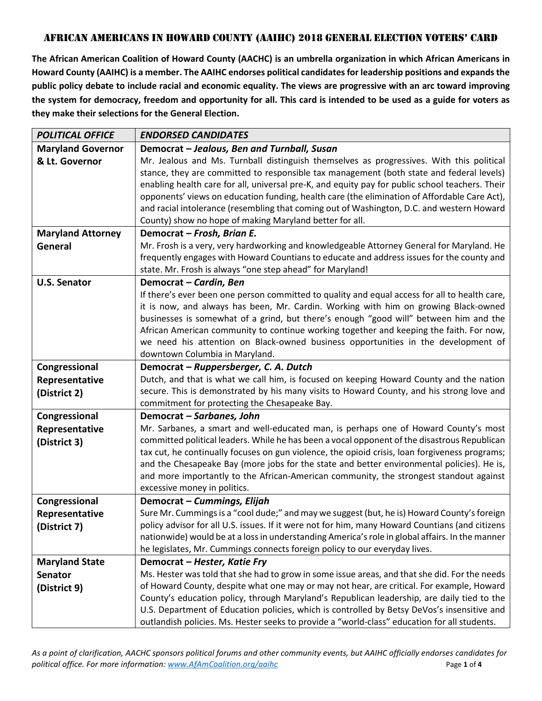**The African American Coalition of Howard County (AACHC) is an umbrella organization in which African Americans in Howard County (AAIHC) is a member. The AAIHC endorses political candidatesfor leadership positions and expandsthe** public policy debate to include racial and economic equality. The views are progressive with an arc toward improving **the system for democracy, freedom and opportunity for all. This card is intended to be used as a guide for voters as they make their selections for the General Election.**

| <b>POLITICAL OFFICE</b>                    | <b>ENDORSED CANDIDATES</b>                                                                                                                                                                                                                                                                                                                                                                                                                                                                                                                                                    |
|--------------------------------------------|-------------------------------------------------------------------------------------------------------------------------------------------------------------------------------------------------------------------------------------------------------------------------------------------------------------------------------------------------------------------------------------------------------------------------------------------------------------------------------------------------------------------------------------------------------------------------------|
| <b>Maryland Governor</b>                   | Democrat - Jealous, Ben and Turnball, Susan                                                                                                                                                                                                                                                                                                                                                                                                                                                                                                                                   |
| & Lt. Governor<br><b>Maryland Attorney</b> | Mr. Jealous and Ms. Turnball distinguish themselves as progressives. With this political<br>stance, they are committed to responsible tax management (both state and federal levels)<br>enabling health care for all, universal pre-K, and equity pay for public school teachers. Their<br>opponents' views on education funding, health care (the elimination of Affordable Care Act),<br>and racial intolerance (resembling that coming out of Washington, D.C. and western Howard<br>County) show no hope of making Maryland better for all.<br>Democrat - Frosh, Brian E. |
| General                                    | Mr. Frosh is a very, very hardworking and knowledgeable Attorney General for Maryland. He                                                                                                                                                                                                                                                                                                                                                                                                                                                                                     |
|                                            | frequently engages with Howard Countians to educate and address issues for the county and<br>state. Mr. Frosh is always "one step ahead" for Maryland!                                                                                                                                                                                                                                                                                                                                                                                                                        |
| <b>U.S. Senator</b>                        | Democrat - Cardin, Ben                                                                                                                                                                                                                                                                                                                                                                                                                                                                                                                                                        |
|                                            | If there's ever been one person committed to quality and equal access for all to health care,<br>it is now, and always has been, Mr. Cardin. Working with him on growing Black-owned<br>businesses is somewhat of a grind, but there's enough "good will" between him and the<br>African American community to continue working together and keeping the faith. For now,<br>we need his attention on Black-owned business opportunities in the development of<br>downtown Columbia in Maryland.                                                                               |
| Congressional                              | Democrat – Ruppersberger, C. A. Dutch                                                                                                                                                                                                                                                                                                                                                                                                                                                                                                                                         |
| Representative<br>(District 2)             | Dutch, and that is what we call him, is focused on keeping Howard County and the nation<br>secure. This is demonstrated by his many visits to Howard County, and his strong love and<br>commitment for protecting the Chesapeake Bay.                                                                                                                                                                                                                                                                                                                                         |
| Congressional                              | Democrat - Sarbanes, John                                                                                                                                                                                                                                                                                                                                                                                                                                                                                                                                                     |
| Representative<br>(District 3)             | Mr. Sarbanes, a smart and well-educated man, is perhaps one of Howard County's most<br>committed political leaders. While he has been a vocal opponent of the disastrous Republican<br>tax cut, he continually focuses on gun violence, the opioid crisis, loan forgiveness programs;<br>and the Chesapeake Bay (more jobs for the state and better environmental policies). He is,<br>and more importantly to the African-American community, the strongest standout against<br>excessive money in politics.                                                                 |
| Congressional                              | Democrat - Cummings, Elijah                                                                                                                                                                                                                                                                                                                                                                                                                                                                                                                                                   |
| Representative                             | Sure Mr. Cummings is a "cool dude;" and may we suggest (but, he is) Howard County's foreign                                                                                                                                                                                                                                                                                                                                                                                                                                                                                   |
| (District 7)                               | policy advisor for all U.S. issues. If it were not for him, many Howard Countians (and citizens<br>nationwide) would be at a loss in understanding America's role in global affairs. In the manner<br>he legislates, Mr. Cummings connects foreign policy to our everyday lives.                                                                                                                                                                                                                                                                                              |
| <b>Maryland State</b>                      | Democrat - Hester, Katie Fry                                                                                                                                                                                                                                                                                                                                                                                                                                                                                                                                                  |
| <b>Senator</b>                             | Ms. Hester was told that she had to grow in some issue areas, and that she did. For the needs                                                                                                                                                                                                                                                                                                                                                                                                                                                                                 |
| (District 9)                               | of Howard County, despite what one may or may not hear, are critical. For example, Howard<br>County's education policy, through Maryland's Republican leadership, are daily tied to the<br>U.S. Department of Education policies, which is controlled by Betsy DeVos's insensitive and<br>outlandish policies. Ms. Hester seeks to provide a "world-class" education for all students.                                                                                                                                                                                        |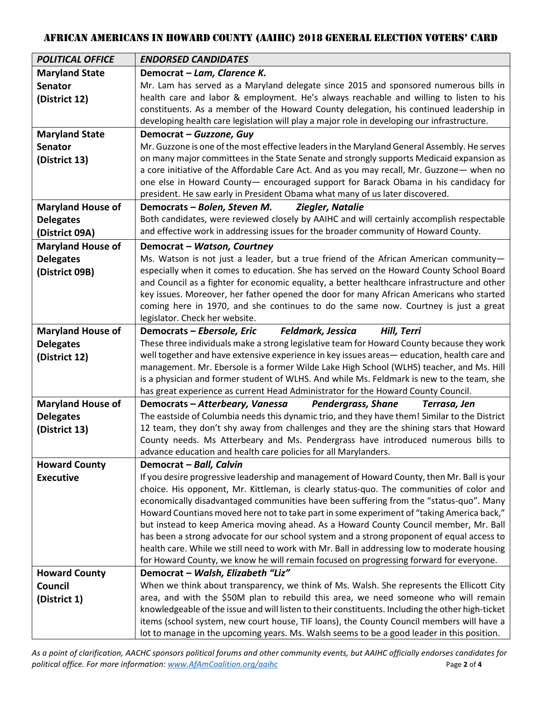| <b>POLITICAL OFFICE</b>                    | <b>ENDORSED CANDIDATES</b>                                                                                                                                                               |
|--------------------------------------------|------------------------------------------------------------------------------------------------------------------------------------------------------------------------------------------|
| <b>Maryland State</b>                      | Democrat - Lam, Clarence K.                                                                                                                                                              |
| <b>Senator</b>                             | Mr. Lam has served as a Maryland delegate since 2015 and sponsored numerous bills in                                                                                                     |
| (District 12)                              | health care and labor & employment. He's always reachable and willing to listen to his                                                                                                   |
|                                            | constituents. As a member of the Howard County delegation, his continued leadership in                                                                                                   |
|                                            | developing health care legislation will play a major role in developing our infrastructure.                                                                                              |
| <b>Maryland State</b>                      | Democrat - Guzzone, Guy                                                                                                                                                                  |
| <b>Senator</b>                             | Mr. Guzzone is one of the most effective leaders in the Maryland General Assembly. He serves                                                                                             |
| (District 13)                              | on many major committees in the State Senate and strongly supports Medicaid expansion as                                                                                                 |
|                                            | a core initiative of the Affordable Care Act. And as you may recall, Mr. Guzzone - when no                                                                                               |
|                                            | one else in Howard County- encouraged support for Barack Obama in his candidacy for<br>president. He saw early in President Obama what many of us later discovered.                      |
| <b>Maryland House of</b>                   | Ziegler, Natalie<br>Democrats - Bolen, Steven M.                                                                                                                                         |
|                                            | Both candidates, were reviewed closely by AAIHC and will certainly accomplish respectable                                                                                                |
| <b>Delegates</b>                           | and effective work in addressing issues for the broader community of Howard County.                                                                                                      |
| (District 09A)<br><b>Maryland House of</b> | Democrat - Watson, Courtney                                                                                                                                                              |
| <b>Delegates</b>                           | Ms. Watson is not just a leader, but a true friend of the African American community-                                                                                                    |
|                                            | especially when it comes to education. She has served on the Howard County School Board                                                                                                  |
| (District 09B)                             | and Council as a fighter for economic equality, a better healthcare infrastructure and other                                                                                             |
|                                            | key issues. Moreover, her father opened the door for many African Americans who started                                                                                                  |
|                                            | coming here in 1970, and she continues to do the same now. Courtney is just a great                                                                                                      |
|                                            | legislator. Check her website.                                                                                                                                                           |
| <b>Maryland House of</b>                   | Democrats - Ebersole, Eric<br>Feldmark, Jessica<br>Hill, Terri                                                                                                                           |
| <b>Delegates</b>                           | These three individuals make a strong legislative team for Howard County because they work                                                                                               |
| (District 12)                              | well together and have extensive experience in key issues areas-education, health care and                                                                                               |
|                                            | management. Mr. Ebersole is a former Wilde Lake High School (WLHS) teacher, and Ms. Hill                                                                                                 |
|                                            | is a physician and former student of WLHS. And while Ms. Feldmark is new to the team, she                                                                                                |
|                                            | has great experience as current Head Administrator for the Howard County Council.                                                                                                        |
| <b>Maryland House of</b>                   | Democrats - Atterbeary, Vanessa<br><b>Pendergrass, Shane</b><br>Terrasa, Jen                                                                                                             |
| <b>Delegates</b>                           | The eastside of Columbia needs this dynamic trio, and they have them! Similar to the District<br>12 team, they don't shy away from challenges and they are the shining stars that Howard |
| (District 13)                              | County needs. Ms Atterbeary and Ms. Pendergrass have introduced numerous bills to                                                                                                        |
|                                            | advance education and health care policies for all Marylanders.                                                                                                                          |
| <b>Howard County</b>                       | Democrat - Ball, Calvin                                                                                                                                                                  |
| <b>Executive</b>                           | If you desire progressive leadership and management of Howard County, then Mr. Ball is your                                                                                              |
|                                            | choice. His opponent, Mr. Kittleman, is clearly status-quo. The communities of color and                                                                                                 |
|                                            | economically disadvantaged communities have been suffering from the "status-quo". Many                                                                                                   |
|                                            | Howard Countians moved here not to take part in some experiment of "taking America back,"                                                                                                |
|                                            | but instead to keep America moving ahead. As a Howard County Council member, Mr. Ball                                                                                                    |
|                                            | has been a strong advocate for our school system and a strong proponent of equal access to                                                                                               |
|                                            | health care. While we still need to work with Mr. Ball in addressing low to moderate housing                                                                                             |
|                                            | for Howard County, we know he will remain focused on progressing forward for everyone.                                                                                                   |
| <b>Howard County</b>                       | Democrat - Walsh, Elizabeth "Liz"                                                                                                                                                        |
| <b>Council</b>                             | When we think about transparency, we think of Ms. Walsh. She represents the Ellicott City<br>area, and with the \$50M plan to rebuild this area, we need someone who will remain         |
| (District 1)                               | knowledgeable of the issue and will listen to their constituents. Including the other high-ticket                                                                                        |
|                                            | items (school system, new court house, TIF loans), the County Council members will have a                                                                                                |
|                                            | lot to manage in the upcoming years. Ms. Walsh seems to be a good leader in this position.                                                                                               |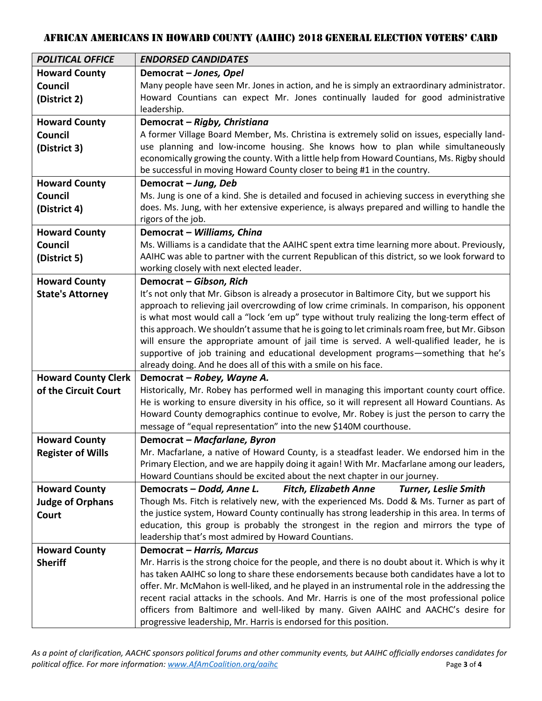| <b>POLITICAL OFFICE</b>    | <b>ENDORSED CANDIDATES</b>                                                                                                                                                                  |
|----------------------------|---------------------------------------------------------------------------------------------------------------------------------------------------------------------------------------------|
| <b>Howard County</b>       | Democrat - Jones, Opel                                                                                                                                                                      |
| Council                    | Many people have seen Mr. Jones in action, and he is simply an extraordinary administrator.                                                                                                 |
| (District 2)               | Howard Countians can expect Mr. Jones continually lauded for good administrative                                                                                                            |
|                            | leadership.                                                                                                                                                                                 |
| <b>Howard County</b>       | Democrat - Rigby, Christiana                                                                                                                                                                |
| Council                    | A former Village Board Member, Ms. Christina is extremely solid on issues, especially land-                                                                                                 |
| (District 3)               | use planning and low-income housing. She knows how to plan while simultaneously                                                                                                             |
|                            | economically growing the county. With a little help from Howard Countians, Ms. Rigby should<br>be successful in moving Howard County closer to being #1 in the country.                     |
| <b>Howard County</b>       | Democrat - Jung, Deb                                                                                                                                                                        |
| Council                    | Ms. Jung is one of a kind. She is detailed and focused in achieving success in everything she                                                                                               |
| (District 4)               | does. Ms. Jung, with her extensive experience, is always prepared and willing to handle the                                                                                                 |
|                            | rigors of the job.                                                                                                                                                                          |
| <b>Howard County</b>       | Democrat - Williams, China                                                                                                                                                                  |
| <b>Council</b>             | Ms. Williams is a candidate that the AAIHC spent extra time learning more about. Previously,                                                                                                |
| (District 5)               | AAIHC was able to partner with the current Republican of this district, so we look forward to                                                                                               |
|                            | working closely with next elected leader.                                                                                                                                                   |
| <b>Howard County</b>       | Democrat - Gibson, Rich                                                                                                                                                                     |
| <b>State's Attorney</b>    | It's not only that Mr. Gibson is already a prosecutor in Baltimore City, but we support his                                                                                                 |
|                            | approach to relieving jail overcrowding of low crime criminals. In comparison, his opponent                                                                                                 |
|                            | is what most would call a "lock 'em up" type without truly realizing the long-term effect of                                                                                                |
|                            | this approach. We shouldn't assume that he is going to let criminals roam free, but Mr. Gibson<br>will ensure the appropriate amount of jail time is served. A well-qualified leader, he is |
|                            | supportive of job training and educational development programs-something that he's                                                                                                         |
|                            | already doing. And he does all of this with a smile on his face.                                                                                                                            |
| <b>Howard County Clerk</b> | Democrat - Robey, Wayne A.                                                                                                                                                                  |
| of the Circuit Court       | Historically, Mr. Robey has performed well in managing this important county court office.                                                                                                  |
|                            | He is working to ensure diversity in his office, so it will represent all Howard Countians. As                                                                                              |
|                            | Howard County demographics continue to evolve, Mr. Robey is just the person to carry the                                                                                                    |
|                            | message of "equal representation" into the new \$140M courthouse.                                                                                                                           |
| <b>Howard County</b>       | Democrat - Macfarlane, Byron                                                                                                                                                                |
| <b>Register of Wills</b>   | Mr. Macfarlane, a native of Howard County, is a steadfast leader. We endorsed him in the                                                                                                    |
|                            | Primary Election, and we are happily doing it again! With Mr. Macfarlane among our leaders,                                                                                                 |
| <b>Howard County</b>       | Howard Countians should be excited about the next chapter in our journey.<br><b>Fitch, Elizabeth Anne</b><br>Democrats - Dodd, Anne L.<br><b>Turner, Leslie Smith</b>                       |
| <b>Judge of Orphans</b>    | Though Ms. Fitch is relatively new, with the experienced Ms. Dodd & Ms. Turner as part of                                                                                                   |
| Court                      | the justice system, Howard County continually has strong leadership in this area. In terms of                                                                                               |
|                            | education, this group is probably the strongest in the region and mirrors the type of                                                                                                       |
|                            | leadership that's most admired by Howard Countians.                                                                                                                                         |
| <b>Howard County</b>       | Democrat - Harris, Marcus                                                                                                                                                                   |
| <b>Sheriff</b>             | Mr. Harris is the strong choice for the people, and there is no doubt about it. Which is why it                                                                                             |
|                            | has taken AAIHC so long to share these endorsements because both candidates have a lot to                                                                                                   |
|                            | offer. Mr. McMahon is well-liked, and he played in an instrumental role in the addressing the                                                                                               |
|                            | recent racial attacks in the schools. And Mr. Harris is one of the most professional police                                                                                                 |
|                            | officers from Baltimore and well-liked by many. Given AAIHC and AACHC's desire for                                                                                                          |
|                            | progressive leadership, Mr. Harris is endorsed for this position.                                                                                                                           |